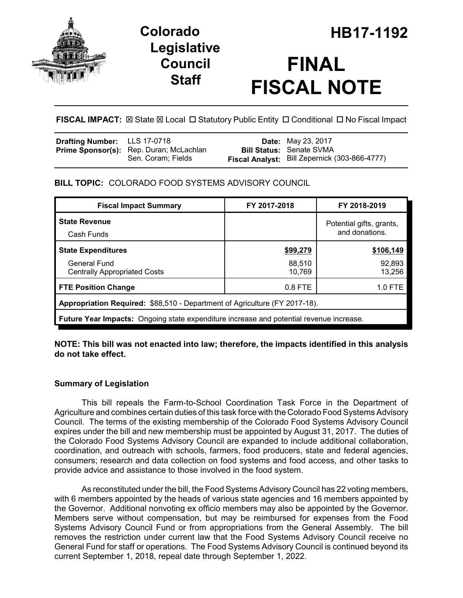

## **Legislative Council Staff**

# **FINAL FISCAL NOTE**

**FISCAL IMPACT:** ⊠ State ⊠ Local □ Statutory Public Entity □ Conditional □ No Fiscal Impact

| Drafting Number: LLS 17-0718 |                                                | <b>Date:</b> May 23, 2017                     |
|------------------------------|------------------------------------------------|-----------------------------------------------|
|                              | <b>Prime Sponsor(s):</b> Rep. Duran; McLachlan | <b>Bill Status: Senate SVMA</b>               |
|                              | Sen. Coram: Fields                             | Fiscal Analyst: Bill Zepernick (303-866-4777) |

#### **BILL TOPIC:** COLORADO FOOD SYSTEMS ADVISORY COUNCIL

| <b>Fiscal Impact Summary</b>                                                            | FY 2017-2018                               | FY 2018-2019     |  |  |  |
|-----------------------------------------------------------------------------------------|--------------------------------------------|------------------|--|--|--|
| <b>State Revenue</b><br>Cash Funds                                                      | Potential gifts, grants,<br>and donations. |                  |  |  |  |
| <b>State Expenditures</b>                                                               | \$99,279                                   | \$106,149        |  |  |  |
| <b>General Fund</b><br><b>Centrally Appropriated Costs</b>                              | 88,510<br>10,769                           | 92,893<br>13,256 |  |  |  |
| <b>FTE Position Change</b>                                                              | $0.8$ FTE                                  | 1.0 FTE          |  |  |  |
| Appropriation Required: \$88,510 - Department of Agriculture (FY 2017-18).              |                                            |                  |  |  |  |
| Future Year Impacts: Ongoing state expenditure increase and potential revenue increase. |                                            |                  |  |  |  |

**NOTE: This bill was not enacted into law; therefore, the impacts identified in this analysis do not take effect.**

#### **Summary of Legislation**

This bill repeals the Farm-to-School Coordination Task Force in the Department of Agriculture and combines certain duties of this task force with the Colorado Food Systems Advisory Council. The terms of the existing membership of the Colorado Food Systems Advisory Council expires under the bill and new membership must be appointed by August 31, 2017. The duties of the Colorado Food Systems Advisory Council are expanded to include additional collaboration, coordination, and outreach with schools, farmers, food producers, state and federal agencies, consumers; research and data collection on food systems and food access, and other tasks to provide advice and assistance to those involved in the food system.

As reconstituted under the bill, the Food Systems Advisory Council has 22 voting members, with 6 members appointed by the heads of various state agencies and 16 members appointed by the Governor. Additional nonvoting ex officio members may also be appointed by the Governor. Members serve without compensation, but may be reimbursed for expenses from the Food Systems Advisory Council Fund or from appropriations from the General Assembly. The bill removes the restriction under current law that the Food Systems Advisory Council receive no General Fund for staff or operations. The Food Systems Advisory Council is continued beyond its current September 1, 2018, repeal date through September 1, 2022.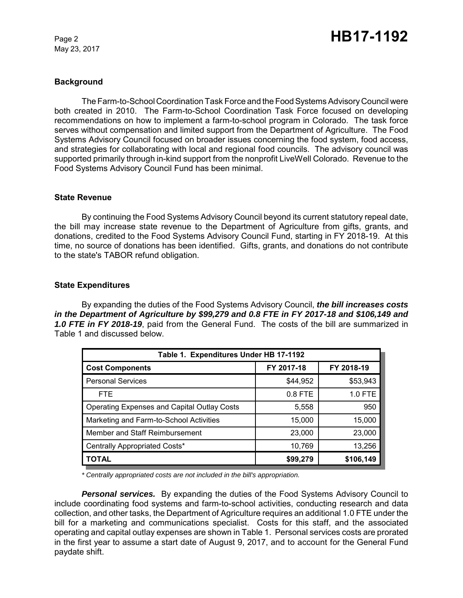May 23, 2017

#### **Background**

The Farm-to-School Coordination Task Force and the Food Systems Advisory Council were both created in 2010. The Farm-to-School Coordination Task Force focused on developing recommendations on how to implement a farm-to-school program in Colorado. The task force serves without compensation and limited support from the Department of Agriculture. The Food Systems Advisory Council focused on broader issues concerning the food system, food access, and strategies for collaborating with local and regional food councils. The advisory council was supported primarily through in-kind support from the nonprofit LiveWell Colorado. Revenue to the Food Systems Advisory Council Fund has been minimal.

#### **State Revenue**

By continuing the Food Systems Advisory Council beyond its current statutory repeal date, the bill may increase state revenue to the Department of Agriculture from gifts, grants, and donations, credited to the Food Systems Advisory Council Fund, starting in FY 2018-19. At this time, no source of donations has been identified. Gifts, grants, and donations do not contribute to the state's TABOR refund obligation.

#### **State Expenditures**

By expanding the duties of the Food Systems Advisory Council, *the bill increases costs in the Department of Agriculture by \$99,279 and 0.8 FTE in FY 2017-18 and \$106,149 and 1.0 FTE in FY 2018-19*, paid from the General Fund. The costs of the bill are summarized in Table 1 and discussed below.

| Table 1. Expenditures Under HB 17-1192             |            |            |  |  |  |
|----------------------------------------------------|------------|------------|--|--|--|
| <b>Cost Components</b>                             | FY 2017-18 | FY 2018-19 |  |  |  |
| <b>Personal Services</b>                           | \$44,952   | \$53,943   |  |  |  |
| <b>FTE</b>                                         | $0.8$ FTE  | 1.0 FTE    |  |  |  |
| <b>Operating Expenses and Capital Outlay Costs</b> | 5,558      | 950        |  |  |  |
| Marketing and Farm-to-School Activities            | 15,000     | 15,000     |  |  |  |
| Member and Staff Reimbursement                     | 23,000     | 23,000     |  |  |  |
| Centrally Appropriated Costs*                      | 10,769     | 13,256     |  |  |  |
| <b>TOTAL</b>                                       | \$99,279   | \$106,149  |  |  |  |

*\* Centrally appropriated costs are not included in the bill's appropriation.*

*Personal services.* By expanding the duties of the Food Systems Advisory Council to include coordinating food systems and farm-to-school activities, conducting research and data collection, and other tasks, the Department of Agriculture requires an additional 1.0 FTE under the bill for a marketing and communications specialist. Costs for this staff, and the associated operating and capital outlay expenses are shown in Table 1. Personal services costs are prorated in the first year to assume a start date of August 9, 2017, and to account for the General Fund paydate shift.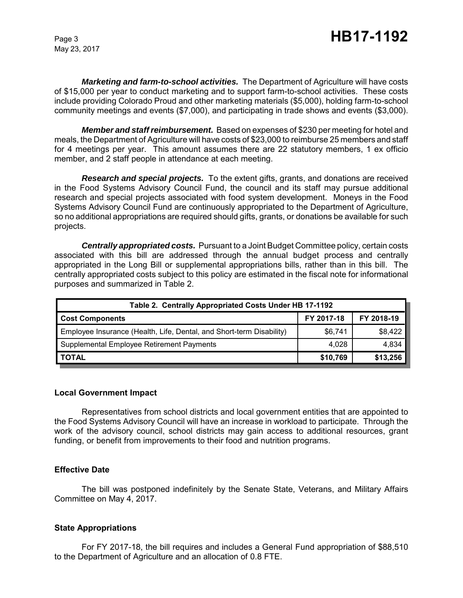May 23, 2017

*Marketing and farm-to-school activities.* The Department of Agriculture will have costs of \$15,000 per year to conduct marketing and to support farm-to-school activities. These costs include providing Colorado Proud and other marketing materials (\$5,000), holding farm-to-school community meetings and events (\$7,000), and participating in trade shows and events (\$3,000).

*Member and staff reimbursement.* Based on expenses of \$230 per meeting for hotel and meals, the Department of Agriculture will have costs of \$23,000 to reimburse 25 members and staff for 4 meetings per year. This amount assumes there are 22 statutory members, 1 ex officio member, and 2 staff people in attendance at each meeting.

*Research and special projects.* To the extent gifts, grants, and donations are received in the Food Systems Advisory Council Fund, the council and its staff may pursue additional research and special projects associated with food system development. Moneys in the Food Systems Advisory Council Fund are continuously appropriated to the Department of Agriculture, so no additional appropriations are required should gifts, grants, or donations be available for such projects.

*Centrally appropriated costs.* Pursuant to a Joint Budget Committee policy, certain costs associated with this bill are addressed through the annual budget process and centrally appropriated in the Long Bill or supplemental appropriations bills, rather than in this bill. The centrally appropriated costs subject to this policy are estimated in the fiscal note for informational purposes and summarized in Table 2.

| Table 2. Centrally Appropriated Costs Under HB 17-1192               |            |            |  |  |  |
|----------------------------------------------------------------------|------------|------------|--|--|--|
| <b>Cost Components</b>                                               | FY 2017-18 | FY 2018-19 |  |  |  |
| Employee Insurance (Health, Life, Dental, and Short-term Disability) | \$6,741    | \$8,422    |  |  |  |
| Supplemental Employee Retirement Payments                            | 4.028      | 4,834      |  |  |  |
| <b>TOTAL</b>                                                         | \$10,769   | \$13,256   |  |  |  |

#### **Local Government Impact**

Representatives from school districts and local government entities that are appointed to the Food Systems Advisory Council will have an increase in workload to participate. Through the work of the advisory council, school districts may gain access to additional resources, grant funding, or benefit from improvements to their food and nutrition programs.

#### **Effective Date**

The bill was postponed indefinitely by the Senate State, Veterans, and Military Affairs Committee on May 4, 2017.

#### **State Appropriations**

For FY 2017-18, the bill requires and includes a General Fund appropriation of \$88,510 to the Department of Agriculture and an allocation of 0.8 FTE.